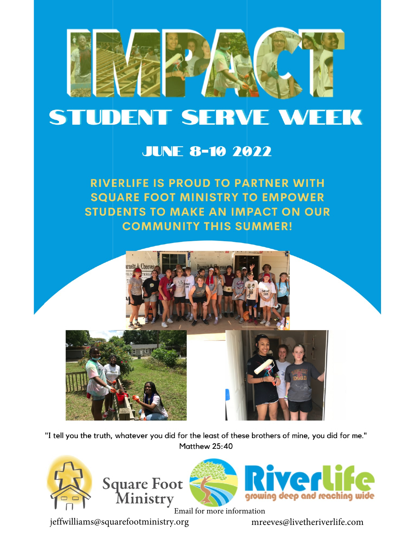

# **STUDENT SERVE WEEK**

## **JUNE 8-10 2022**

# **RIVERLIFE IS PROUD TO PARTNER WITH SQUARE FOOT MINISTRY TO EMPOWER STUDENTS TO MAKE AN IMPACT ON OUR COMMUNITY THIS SUMMER!**



"I tell you the truth, whatever you did for the least of these brothers of mine, you did for me." Matthew 25:40







Email for more information

jeffwilliams@squarefootministry.org

mreeves@livetheriverlife.com